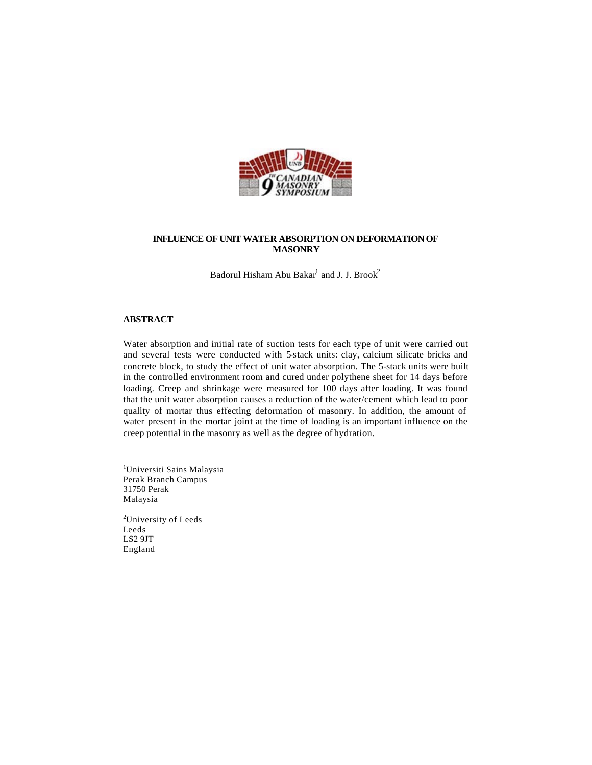

# **INFLUENCE OF UNIT WATER ABSORPTION ON DEFORMATION OF MASONRY**

Badorul Hisham Abu Bakar $^{\rm l}$  and J. J. Brook $^{\rm 2}$ 

## **ABSTRACT**

Water absorption and initial rate of suction tests for each type of unit were carried out and several tests were conducted with 5-stack units: clay, calcium silicate bricks and concrete block, to study the effect of unit water absorption. The 5-stack units were built in the controlled environment room and cured under polythene sheet for 14 days before loading. Creep and shrinkage were measured for 100 days after loading. It was found that the unit water absorption causes a reduction of the water/cement which lead to poor quality of mortar thus effecting deformation of masonry. In addition, the amount of water present in the mortar joint at the time of loading is an important influence on the creep potential in the masonry as well as the degree of hydration.

<sup>1</sup>Universiti Sains Malaysia Perak Branch Campus 31750 Perak Malaysia

<sup>2</sup>University of Leeds Leeds LS2 9JT England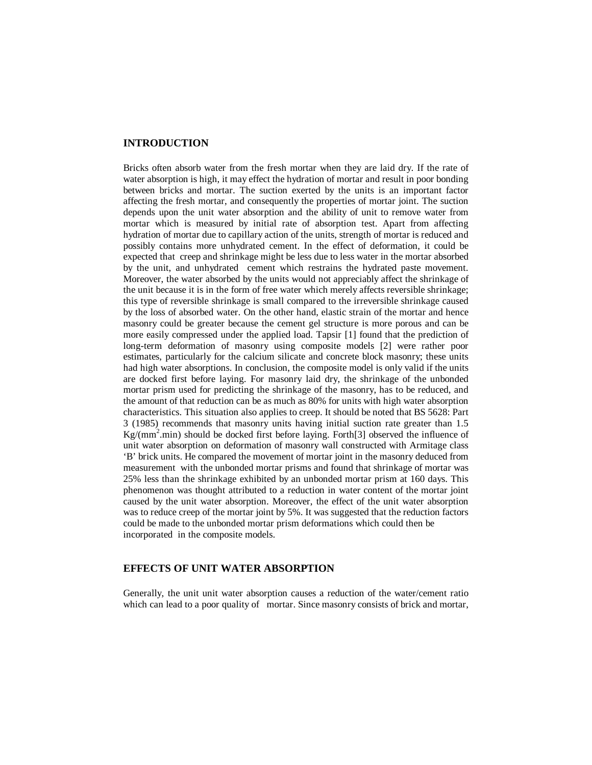# **INTRODUCTION**

Bricks often absorb water from the fresh mortar when they are laid dry. If the rate of water absorption is high, it may effect the hydration of mortar and result in poor bonding between bricks and mortar. The suction exerted by the units is an important factor affecting the fresh mortar, and consequently the properties of mortar joint. The suction depends upon the unit water absorption and the ability of unit to remove water from mortar which is measured by initial rate of absorption test. Apart from affecting hydration of mortar due to capillary action of the units, strength of mortar is reduced and possibly contains more unhydrated cement. In the effect of deformation, it could be expected that creep and shrinkage might be less due to less water in the mortar absorbed by the unit, and unhydrated cement which restrains the hydrated paste movement. Moreover, the water absorbed by the units would not appreciably affect the shrinkage of the unit because it is in the form of free water which merely affects reversible shrinkage; this type of reversible shrinkage is small compared to the irreversible shrinkage caused by the loss of absorbed water. On the other hand, elastic strain of the mortar and hence masonry could be greater because the cement gel structure is more porous and can be more easily compressed under the applied load. Tapsir [1] found that the prediction of long-term deformation of masonry using composite models [2] were rather poor estimates, particularly for the calcium silicate and concrete block masonry; these units had high water absorptions. In conclusion, the composite model is only valid if the units are docked first before laying. For masonry laid dry, the shrinkage of the unbonded mortar prism used for predicting the shrinkage of the masonry, has to be reduced, and the amount of that reduction can be as much as 80% for units with high water absorption characteristics. This situation also applies to creep. It should be noted that BS 5628: Part 3 (1985) recommends that masonry units having initial suction rate greater than 1.5  $Kg/(mm^2.min)$  should be docked first before laying. Forth[3] observed the influence of unit water absorption on deformation of masonry wall constructed with Armitage class 'B' brick units. He compared the movement of mortar joint in the masonry deduced from measurement with the unbonded mortar prisms and found that shrinkage of mortar was 25% less than the shrinkage exhibited by an unbonded mortar prism at 160 days. This phenomenon was thought attributed to a reduction in water content of the mortar joint caused by the unit water absorption. Moreover, the effect of the unit water absorption was to reduce creep of the mortar joint by 5%. It was suggested that the reduction factors could be made to the unbonded mortar prism deformations which could then be incorporated in the composite models.

## **EFFECTS OF UNIT WATER ABSORPTION**

Generally, the unit unit water absorption causes a reduction of the water/cement ratio which can lead to a poor quality of mortar. Since masonry consists of brick and mortar,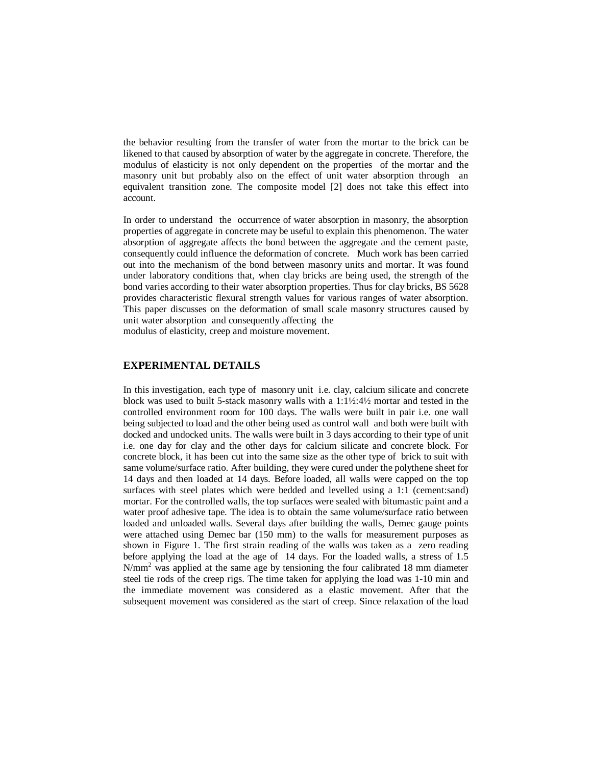the behavior resulting from the transfer of water from the mortar to the brick can be likened to that caused by absorption of water by the aggregate in concrete. Therefore, the modulus of elasticity is not only dependent on the properties of the mortar and the masonry unit but probably also on the effect of unit water absorption through an equivalent transition zone. The composite model [2] does not take this effect into account.

In order to understand the occurrence of water absorption in masonry, the absorption properties of aggregate in concrete may be useful to explain this phenomenon. The water absorption of aggregate affects the bond between the aggregate and the cement paste, consequently could influence the deformation of concrete. Much work has been carried out into the mechanism of the bond between masonry units and mortar. It was found under laboratory conditions that, when clay bricks are being used, the strength of the bond varies according to their water absorption properties. Thus for clay bricks, BS 5628 provides characteristic flexural strength values for various ranges of water absorption. This paper discusses on the deformation of small scale masonry structures caused by unit water absorption and consequently affecting the modulus of elasticity, creep and moisture movement.

#### **EXPERIMENTAL DETAILS**

In this investigation, each type of masonry unit i.e. clay, calcium silicate and concrete block was used to built 5-stack masonry walls with a 1:1½:4½ mortar and tested in the controlled environment room for 100 days. The walls were built in pair i.e. one wall being subjected to load and the other being used as control wall and both were built with docked and undocked units. The walls were built in 3 days according to their type of unit i.e. one day for clay and the other days for calcium silicate and concrete block. For concrete block, it has been cut into the same size as the other type of brick to suit with same volume/surface ratio. After building, they were cured under the polythene sheet for 14 days and then loaded at 14 days. Before loaded, all walls were capped on the top surfaces with steel plates which were bedded and levelled using a 1:1 (cement:sand) mortar. For the controlled walls, the top surfaces were sealed with bitumastic paint and a water proof adhesive tape. The idea is to obtain the same volume/surface ratio between loaded and unloaded walls. Several days after building the walls, Demec gauge points were attached using Demec bar (150 mm) to the walls for measurement purposes as shown in Figure 1. The first strain reading of the walls was taken as a zero reading before applying the load at the age of 14 days. For the loaded walls, a stress of 1.5  $N/mm<sup>2</sup>$  was applied at the same age by tensioning the four calibrated 18 mm diameter steel tie rods of the creep rigs. The time taken for applying the load was 1-10 min and the immediate movement was considered as a elastic movement. After that the subsequent movement was considered as the start of creep. Since relaxation of the load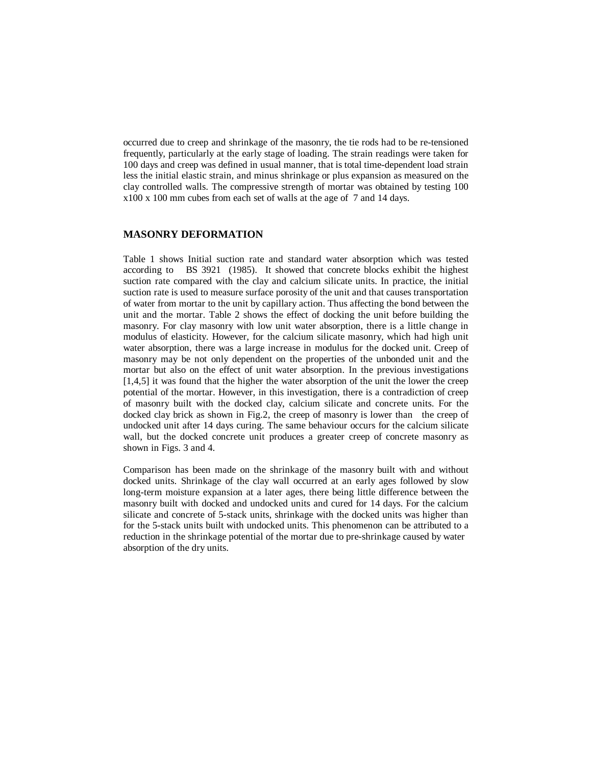occurred due to creep and shrinkage of the masonry, the tie rods had to be re-tensioned frequently, particularly at the early stage of loading. The strain readings were taken for 100 days and creep was defined in usual manner, that is total time-dependent load strain less the initial elastic strain, and minus shrinkage or plus expansion as measured on the clay controlled walls. The compressive strength of mortar was obtained by testing 100 x100 x 100 mm cubes from each set of walls at the age of 7 and 14 days.

## **MASONRY DEFORMATION**

Table 1 shows Initial suction rate and standard water absorption which was tested according to BS 3921 (1985). It showed that concrete blocks exhibit the highest suction rate compared with the clay and calcium silicate units. In practice, the initial suction rate is used to measure surface porosity of the unit and that causes transportation of water from mortar to the unit by capillary action. Thus affecting the bond between the unit and the mortar. Table 2 shows the effect of docking the unit before building the masonry. For clay masonry with low unit water absorption, there is a little change in modulus of elasticity. However, for the calcium silicate masonry, which had high unit water absorption, there was a large increase in modulus for the docked unit. Creep of masonry may be not only dependent on the properties of the unbonded unit and the mortar but also on the effect of unit water absorption. In the previous investigations [1,4,5] it was found that the higher the water absorption of the unit the lower the creep potential of the mortar. However, in this investigation, there is a contradiction of creep of masonry built with the docked clay, calcium silicate and concrete units. For the docked clay brick as shown in Fig.2, the creep of masonry is lower than the creep of undocked unit after 14 days curing. The same behaviour occurs for the calcium silicate wall, but the docked concrete unit produces a greater creep of concrete masonry as shown in Figs. 3 and 4.

Comparison has been made on the shrinkage of the masonry built with and without docked units. Shrinkage of the clay wall occurred at an early ages followed by slow long-term moisture expansion at a later ages, there being little difference between the masonry built with docked and undocked units and cured for 14 days. For the calcium silicate and concrete of 5-stack units, shrinkage with the docked units was higher than for the 5-stack units built with undocked units. This phenomenon can be attributed to a reduction in the shrinkage potential of the mortar due to pre-shrinkage caused by water absorption of the dry units.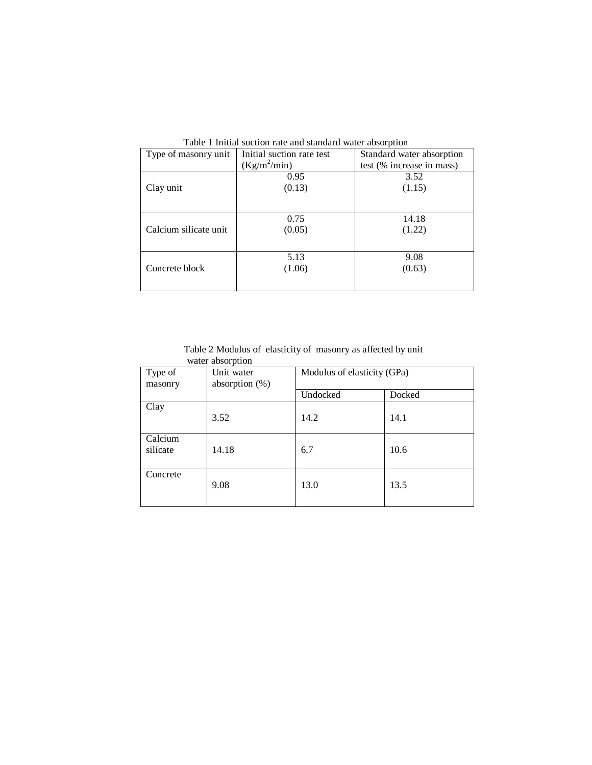| $\frac{1}{2}$ . The matrix $\frac{1}{2}$ is the contract of $\frac{1}{2}$ . The contract of $\frac{1}{2}$ |                                                        |                           |  |  |
|-----------------------------------------------------------------------------------------------------------|--------------------------------------------------------|---------------------------|--|--|
| Type of masonry unit                                                                                      | Initial suction rate test<br>Standard water absorption |                           |  |  |
|                                                                                                           | $(Kg/m^2/min)$                                         | test (% increase in mass) |  |  |
|                                                                                                           | 0.95                                                   | 3.52                      |  |  |
| Clay unit                                                                                                 | (0.13)                                                 | (1.15)                    |  |  |
|                                                                                                           |                                                        |                           |  |  |
|                                                                                                           |                                                        |                           |  |  |
|                                                                                                           | 0.75                                                   | 14.18                     |  |  |
| Calcium silicate unit                                                                                     | (0.05)                                                 | (1.22)                    |  |  |
|                                                                                                           |                                                        |                           |  |  |
|                                                                                                           | 5.13                                                   | 9.08                      |  |  |
|                                                                                                           |                                                        |                           |  |  |
| Concrete block                                                                                            | (1.06)                                                 | (0.63)                    |  |  |
|                                                                                                           |                                                        |                           |  |  |
|                                                                                                           |                                                        |                           |  |  |

Table 1 Initial suction rate and standard water absorption

 Table 2 Modulus of elasticity of masonry as affected by unit water absorption

| Type of             | Unit water        | Modulus of elasticity (GPa) |        |
|---------------------|-------------------|-----------------------------|--------|
| masonry             | absorption $(\%)$ |                             |        |
|                     |                   | Undocked                    | Docked |
| Clay                | 3.52              | 14.2                        | 14.1   |
| Calcium<br>silicate | 14.18             | 6.7                         | 10.6   |
| Concrete            | 9.08              | 13.0                        | 13.5   |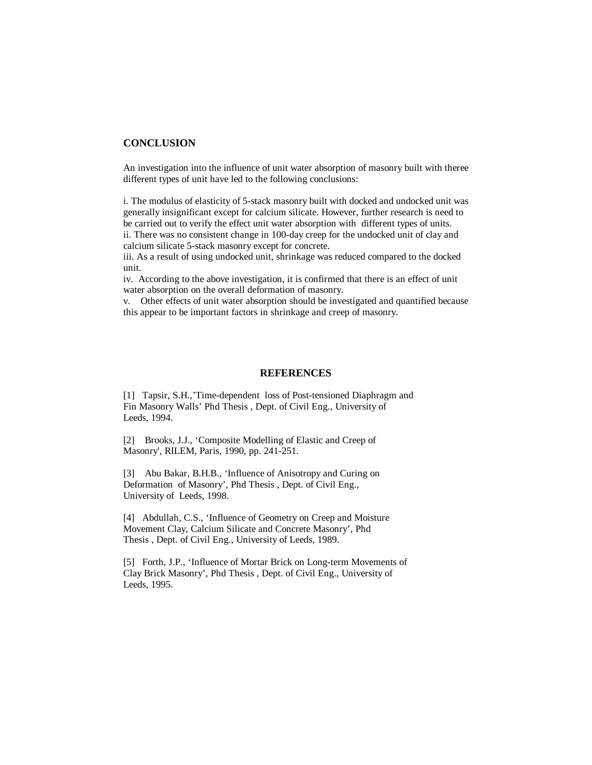# **CONCLUSION**

An investigation into the influence of unit water absorption of masonry built with theree different types of unit have led to the following conclusions:

i. The modulus of elasticity of 5-stack masonry built with docked and undocked unit was generally insignificant except for calcium silicate. However, further research is need to be carried out to verify the effect unit water absorption with different types of units. ii. There was no consistent change in 100-day creep for the undocked unit of clay and

calcium silicate 5-stack masonry except for concrete.

iii. As a result of using undocked unit, shrinkage was reduced compared to the docked unit.

iv. According to the above investigation, it is confirmed that there is an effect of unit water absorption on the overall deformation of masonry.

v. Other effects of unit water absorption should be investigated and quantified because this appear to be important factors in shrinkage and creep of masonry.

### **REFERENCES**

[1] Tapsir, S.H.,'Time-dependent loss of Post-tensioned Diaphragm and Fin Masonry Walls' Phd Thesis , Dept. of Civil Eng., University of Leeds, 1994.

[2] Brooks, J.J., 'Composite Modelling of Elastic and Creep of Masonry', RILEM, Paris, 1990, pp. 241-251.

[3] Abu Bakar, B.H.B., 'Influence of Anisotropy and Curing on Deformation of Masonry', Phd Thesis , Dept. of Civil Eng., University of Leeds, 1998.

[4] Abdullah, C.S., 'Influence of Geometry on Creep and Moisture Movement Clay, Calcium Silicate and Concrete Masonry', Phd Thesis , Dept. of Civil Eng., University of Leeds, 1989.

[5] Forth, J.P., 'Influence of Mortar Brick on Long-term Movements of Clay Brick Masonry', Phd Thesis , Dept. of Civil Eng., University of Leeds, 1995.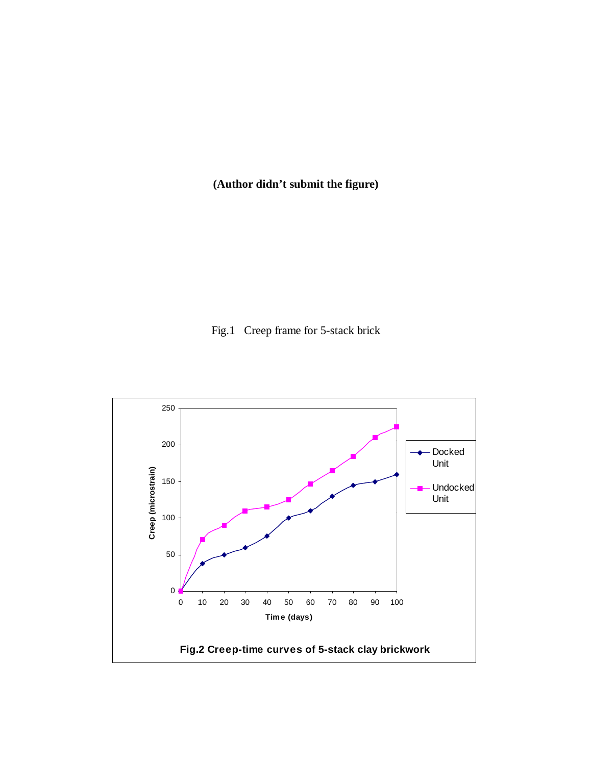**(Author didn't submit the figure)** 

Fig.1 Creep frame for 5-stack brick